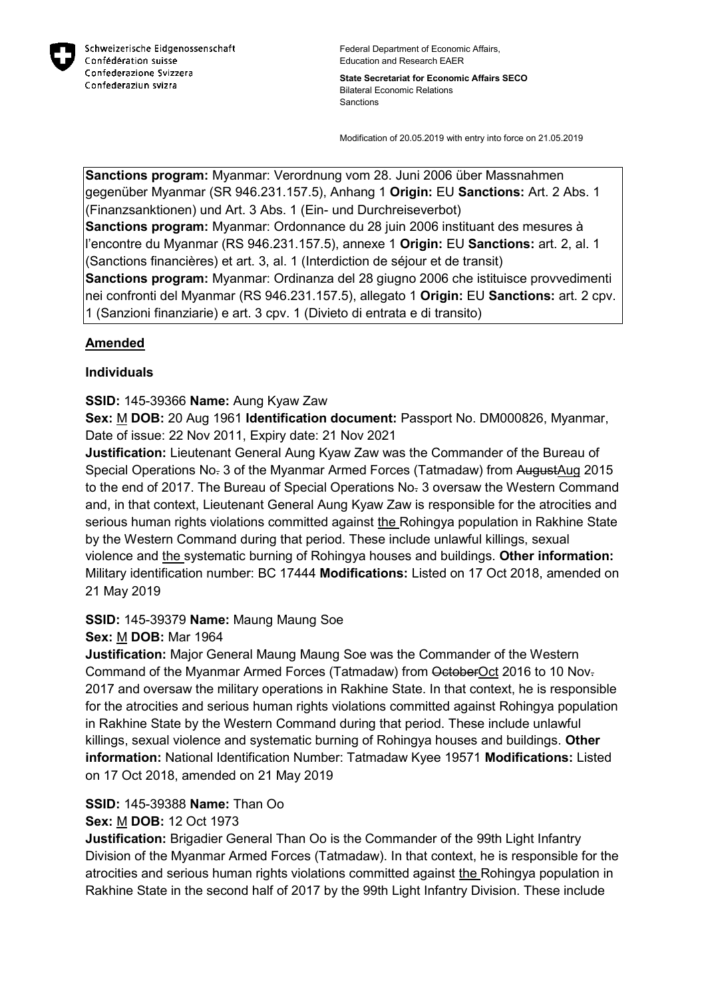

**State Secretariat for Economic Affairs SECO** Bilateral Economic Relations Sanctions

Modification of 20.05.2019 with entry into force on 21.05.2019

**Sanctions program:** Myanmar: Verordnung vom 28. Juni 2006 über Massnahmen gegenüber Myanmar (SR 946.231.157.5), Anhang 1 **Origin:** EU **Sanctions:** Art. 2 Abs. 1 (Finanzsanktionen) und Art. 3 Abs. 1 (Ein- und Durchreiseverbot) **Sanctions program:** Myanmar: Ordonnance du 28 juin 2006 instituant des mesures à l'encontre du Myanmar (RS 946.231.157.5), annexe 1 **Origin:** EU **Sanctions:** art. 2, al. 1 (Sanctions financières) et art. 3, al. 1 (Interdiction de séjour et de transit) **Sanctions program:** Myanmar: Ordinanza del 28 giugno 2006 che istituisce provvedimenti nei confronti del Myanmar (RS 946.231.157.5), allegato 1 **Origin:** EU **Sanctions:** art. 2 cpv.

# 1 (Sanzioni finanziarie) e art. 3 cpv. 1 (Divieto di entrata e di transito)

#### **Amended**

#### **Individuals**

#### **SSID:** 145-39366 **Name:** Aung Kyaw Zaw

**Sex:** M **DOB:** 20 Aug 1961 **Identification document:** Passport No. DM000826, Myanmar, Date of issue: 22 Nov 2011, Expiry date: 21 Nov 2021

**Justification:** Lieutenant General Aung Kyaw Zaw was the Commander of the Bureau of Special Operations No. 3 of the Myanmar Armed Forces (Tatmadaw) from AugustAug 2015 to the end of 2017. The Bureau of Special Operations No. 3 oversaw the Western Command and, in that context, Lieutenant General Aung Kyaw Zaw is responsible for the atrocities and serious human rights violations committed against the Rohingya population in Rakhine State by the Western Command during that period. These include unlawful killings, sexual violence and the systematic burning of Rohingya houses and buildings. **Other information:** Military identification number: BC 17444 **Modifications:** Listed on 17 Oct 2018, amended on 21 May 2019

#### **SSID:** 145-39379 **Name:** Maung Maung Soe

#### **Sex:** M **DOB:** Mar 1964

**Justification:** Major General Maung Maung Soe was the Commander of the Western Command of the Myanmar Armed Forces (Tatmadaw) from OctoberOct 2016 to 10 Nov. 2017 and oversaw the military operations in Rakhine State. In that context, he is responsible for the atrocities and serious human rights violations committed against Rohingya population in Rakhine State by the Western Command during that period. These include unlawful killings, sexual violence and systematic burning of Rohingya houses and buildings. **Other information:** National Identification Number: Tatmadaw Kyee 19571 **Modifications:** Listed on 17 Oct 2018, amended on 21 May 2019

#### **SSID:** 145-39388 **Name:** Than Oo

#### **Sex:** M **DOB:** 12 Oct 1973

**Justification:** Brigadier General Than Oo is the Commander of the 99th Light Infantry Division of the Myanmar Armed Forces (Tatmadaw). In that context, he is responsible for the atrocities and serious human rights violations committed against the Rohingya population in Rakhine State in the second half of 2017 by the 99th Light Infantry Division. These include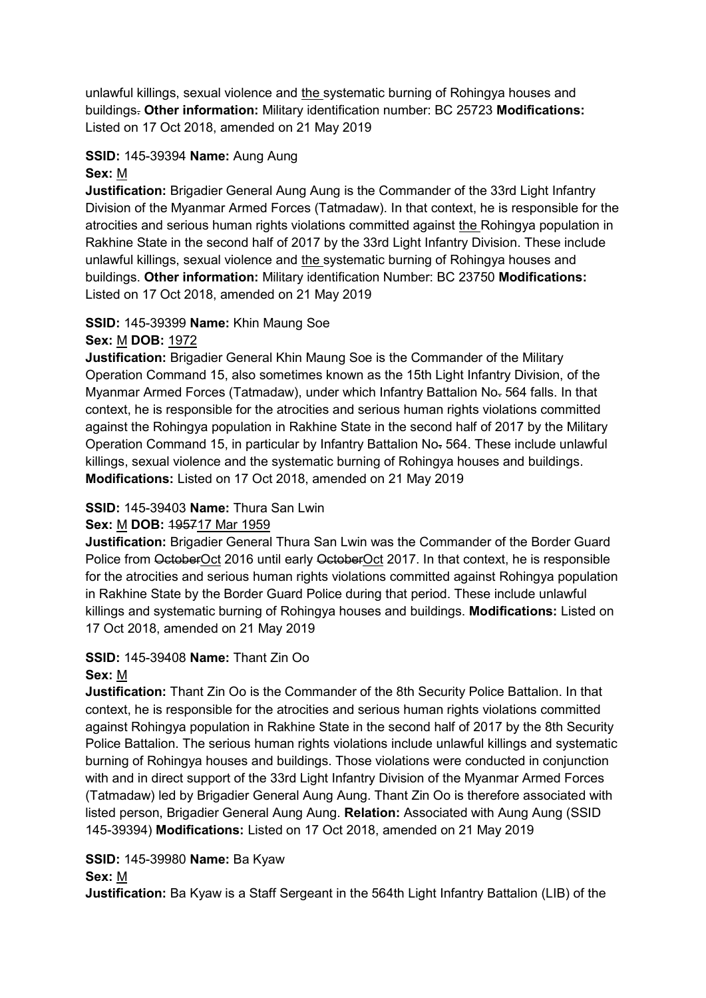unlawful killings, sexual violence and the systematic burning of Rohingya houses and buildings. **Other information:** Military identification number: BC 25723 **Modifications:**  Listed on 17 Oct 2018, amended on 21 May 2019

#### **SSID:** 145-39394 **Name:** Aung Aung **Sex:** M

**Justification:** Brigadier General Aung Aung is the Commander of the 33rd Light Infantry Division of the Myanmar Armed Forces (Tatmadaw). In that context, he is responsible for the atrocities and serious human rights violations committed against the Rohingya population in Rakhine State in the second half of 2017 by the 33rd Light Infantry Division. These include unlawful killings, sexual violence and the systematic burning of Rohingya houses and buildings. **Other information:** Military identification Number: BC 23750 **Modifications:**  Listed on 17 Oct 2018, amended on 21 May 2019

# **SSID:** 145-39399 **Name:** Khin Maung Soe

#### **Sex:** M **DOB:** 1972

**Justification:** Brigadier General Khin Maung Soe is the Commander of the Military Operation Command 15, also sometimes known as the 15th Light Infantry Division, of the Myanmar Armed Forces (Tatmadaw), under which Infantry Battalion No- 564 falls. In that context, he is responsible for the atrocities and serious human rights violations committed against the Rohingya population in Rakhine State in the second half of 2017 by the Military Operation Command 15, in particular by Infantry Battalion No. 564. These include unlawful killings, sexual violence and the systematic burning of Rohingya houses and buildings. **Modifications:** Listed on 17 Oct 2018, amended on 21 May 2019

#### **SSID:** 145-39403 **Name:** Thura San Lwin

#### **Sex:** M **DOB:** 195717 Mar 1959

**Justification:** Brigadier General Thura San Lwin was the Commander of the Border Guard Police from OctoberOct 2016 until early OctoberOct 2017. In that context, he is responsible for the atrocities and serious human rights violations committed against Rohingya population in Rakhine State by the Border Guard Police during that period. These include unlawful killings and systematic burning of Rohingya houses and buildings. **Modifications:** Listed on 17 Oct 2018, amended on 21 May 2019

#### **SSID:** 145-39408 **Name:** Thant Zin Oo **Sex:** M

**Justification:** Thant Zin Oo is the Commander of the 8th Security Police Battalion. In that context, he is responsible for the atrocities and serious human rights violations committed against Rohingya population in Rakhine State in the second half of 2017 by the 8th Security Police Battalion. The serious human rights violations include unlawful killings and systematic burning of Rohingya houses and buildings. Those violations were conducted in conjunction with and in direct support of the 33rd Light Infantry Division of the Myanmar Armed Forces (Tatmadaw) led by Brigadier General Aung Aung. Thant Zin Oo is therefore associated with listed person, Brigadier General Aung Aung. **Relation:** Associated with Aung Aung (SSID 145-39394) **Modifications:** Listed on 17 Oct 2018, amended on 21 May 2019

#### **SSID:** 145-39980 **Name:** Ba Kyaw

#### **Sex:** M

**Justification:** Ba Kyaw is a Staff Sergeant in the 564th Light Infantry Battalion (LIB) of the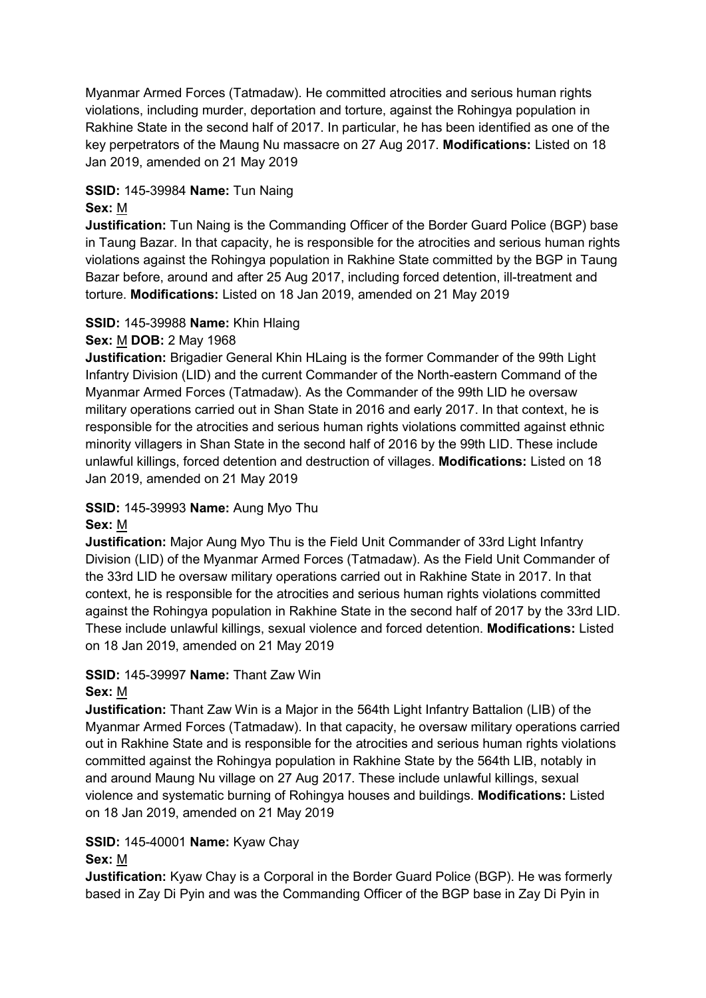Myanmar Armed Forces (Tatmadaw). He committed atrocities and serious human rights violations, including murder, deportation and torture, against the Rohingya population in Rakhine State in the second half of 2017. In particular, he has been identified as one of the key perpetrators of the Maung Nu massacre on 27 Aug 2017. **Modifications:** Listed on 18 Jan 2019, amended on 21 May 2019

# **SSID:** 145-39984 **Name:** Tun Naing

#### **Sex:** M

**Justification:** Tun Naing is the Commanding Officer of the Border Guard Police (BGP) base in Taung Bazar. In that capacity, he is responsible for the atrocities and serious human rights violations against the Rohingya population in Rakhine State committed by the BGP in Taung Bazar before, around and after 25 Aug 2017, including forced detention, ill-treatment and torture. **Modifications:** Listed on 18 Jan 2019, amended on 21 May 2019

#### **SSID:** 145-39988 **Name:** Khin Hlaing

#### **Sex:** M **DOB:** 2 May 1968

**Justification:** Brigadier General Khin HLaing is the former Commander of the 99th Light Infantry Division (LID) and the current Commander of the North-eastern Command of the Myanmar Armed Forces (Tatmadaw). As the Commander of the 99th LID he oversaw military operations carried out in Shan State in 2016 and early 2017. In that context, he is responsible for the atrocities and serious human rights violations committed against ethnic minority villagers in Shan State in the second half of 2016 by the 99th LID. These include unlawful killings, forced detention and destruction of villages. **Modifications:** Listed on 18 Jan 2019, amended on 21 May 2019

# **SSID:** 145-39993 **Name:** Aung Myo Thu

#### **Sex:** M

**Justification:** Major Aung Myo Thu is the Field Unit Commander of 33rd Light Infantry Division (LID) of the Myanmar Armed Forces (Tatmadaw). As the Field Unit Commander of the 33rd LID he oversaw military operations carried out in Rakhine State in 2017. In that context, he is responsible for the atrocities and serious human rights violations committed against the Rohingya population in Rakhine State in the second half of 2017 by the 33rd LID. These include unlawful killings, sexual violence and forced detention. **Modifications:** Listed on 18 Jan 2019, amended on 21 May 2019

# **SSID:** 145-39997 **Name:** Thant Zaw Win

#### **Sex:** M

**Justification:** Thant Zaw Win is a Major in the 564th Light Infantry Battalion (LIB) of the Myanmar Armed Forces (Tatmadaw). In that capacity, he oversaw military operations carried out in Rakhine State and is responsible for the atrocities and serious human rights violations committed against the Rohingya population in Rakhine State by the 564th LIB, notably in and around Maung Nu village on 27 Aug 2017. These include unlawful killings, sexual violence and systematic burning of Rohingya houses and buildings. **Modifications:** Listed on 18 Jan 2019, amended on 21 May 2019

# **SSID:** 145-40001 **Name:** Kyaw Chay

#### **Sex:** M

**Justification:** Kyaw Chay is a Corporal in the Border Guard Police (BGP). He was formerly based in Zay Di Pyin and was the Commanding Officer of the BGP base in Zay Di Pyin in